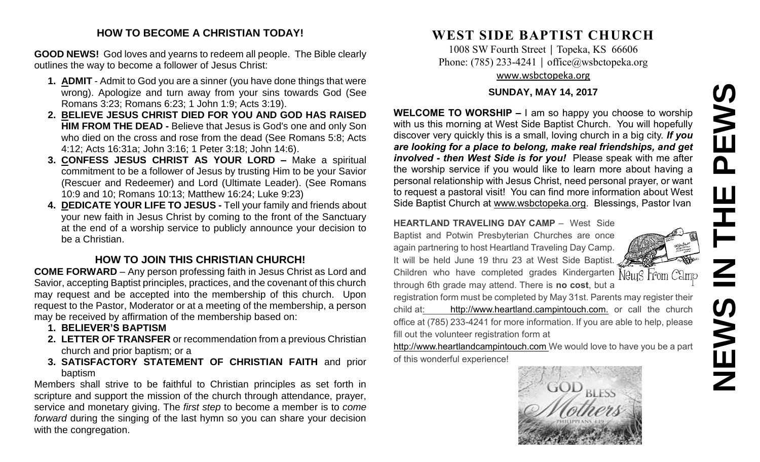# **NEWS IN THE PEWS**EWS  $\overline{\mathbf{a}}$ EWS

### **HOW TO BECOME A CHRISTIAN TODAY!**

**GOOD NEWS!** God loves and yearns to redeem all people. The Bible clearly outlines the way to become a follower of Jesus Christ:

- **1. ADMIT** Admit to God you are a sinner (you have done things that were wrong). Apologize and turn away from your sins towards God (See Romans 3:23; Romans 6:23; 1 John 1:9; Acts 3:19).
- **2. BELIEVE JESUS CHRIST DIED FOR YOU AND GOD HAS RAISED HIM FROM THE DEAD -** Believe that Jesus is God's one and only Son who died on the cross and rose from the dead (See Romans 5:8; Acts 4:12; Acts 16:31a; John 3:16; 1 Peter 3:18; John 14:6).
- **3. CONFESS JESUS CHRIST AS YOUR LORD –** Make a spiritual commitment to be a follower of Jesus by trusting Him to be your Savior (Rescuer and Redeemer) and Lord (Ultimate Leader). (See Romans 10:9 and 10; Romans 10:13; Matthew 16:24; Luke 9:23)
- **4. DEDICATE YOUR LIFE TO JESUS -** Tell your family and friends about your new faith in Jesus Christ by coming to the front of the Sanctuary at the end of a worship service to publicly announce your decision to be a Christian.

# **HOW TO JOIN THIS CHRISTIAN CHURCH!**

**COME FORWARD** – Any person professing faith in Jesus Christ as Lord and Savior, accepting Baptist principles, practices, and the covenant of this church may request and be accepted into the membership of this church. Upon request to the Pastor, Moderator or at a meeting of the membership, a person may be received by affirmation of the membership based on:

- **1. BELIEVER'S BAPTISM**
- **2. LETTER OF TRANSFER** or recommendation from a previous Christian church and prior baptism; or a
- **3. SATISFACTORY STATEMENT OF CHRISTIAN FAITH** and prior baptism

Members shall strive to be faithful to Christian principles as set forth in scripture and support the mission of the church through attendance, prayer, service and monetary giving. The *first step* to become a member is to *come forward* during the singing of the last hymn so you can share your decision with the congregation.

# **WEST SIDE BAPTIST CHURCH**

1008 SW Fourth Street | Topeka, KS 66606 Phone: (785) 233-4241 │ [office@wsbctopeka.org](mailto:office@wsbctopeka.org) [www.wsbctopeka.org](http://www.wsbctopeka.org/)

#### **SUNDAY, MAY 14, 2017**

**WELCOME TO WORSHIP –** I am so happy you choose to worship with us this morning at West Side Baptist Church. You will hopefully discover very quickly this is a small, loving church in a big city. *If you are looking for a place to belong, make real friendships, and get involved - then West Side is for you!* Please speak with me after the worship service if you would like to learn more about having a personal relationship with Jesus Christ, need personal prayer, or want to request a pastoral visit! You can find more information about West Side Baptist Church at [www.wsbctopeka.org.](http://www.wsbctopeka.org/) Blessings, Pastor Ivan

**HEARTLAND TRAVELING DAY CAMP** –West Side Baptist and Potwin Presbyterian Churches are once again partnering to host Heartland Traveling Day Camp. It will be held June 19 thru 23 at West Side Baptist. Children who have completed grades Kindergarten Neus From Camp through 6th grade may attend. There is **no cost**, but a

registration form must be completed by May 31st. Parents may register their child at: http://www.heartland.campintouch.com. or call the church office at (785) 233-4241 for more information. If you are able to help, please fill out the volunteer registration form at

[http://www.heartlandcampintouch.com](http://www.heartlandcampintouch.com/) We would love to have you be a part of this wonderful experience!

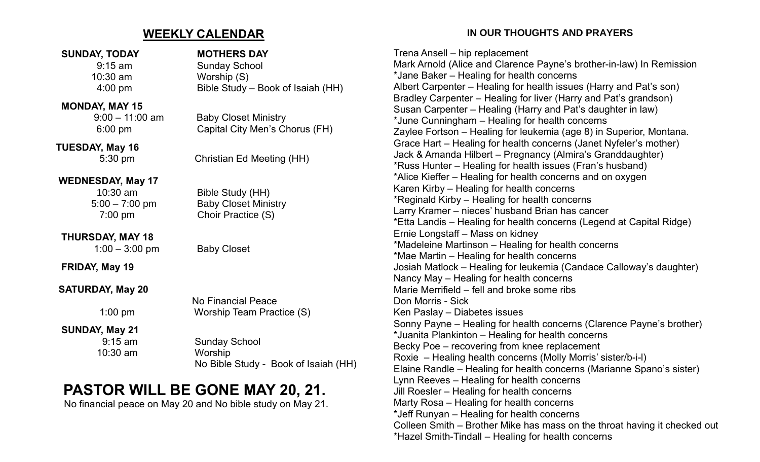# **WEEKLY CALENDAR**

#### **SUNDAY, TODAY MOTHERS DAY**

#### **MONDAY, MAY 15**

 **TUESDAY, May 16**

# **WEDNESDAY, May 17**

# **THURSDAY, MAY 18**

**FRIDAY, May 19**

# **SATURDAY, May 20**

# **SUNDAY, May 21**

10:30 am Worship

9:15 am Sunday School 10:30 am Worship (S) 4:00 pm Bible Study – Book of Isaiah (HH)

 9:00 – 11:00 am Baby Closet Ministry 6:00 pm Capital City Men's Chorus (FH)

5:30 pm Christian Ed Meeting (HH)

 10:30 am Bible Study (HH) 5:00 – 7:00 pm Baby Closet Ministry 7:00 pm Choir Practice (S)

1:00 – 3:00 pm Baby Closet

 No Financial Peace 1:00 pm Worship Team Practice (S)

 9:15 am Sunday School No Bible Study - Book of Isaiah (HH)

# **PASTOR WILL BE GONE MAY 20, 21.**

No financial peace on May 20 and No bible study on May 21.

# **IN OUR THOUGHTS AND PRAYERS**

Trena Ansell – hip replacement Mark Arnold (Alice and Clarence Payne's brother-in-law) In Remission \*Jane Baker – Healing for health concerns Albert Carpenter – Healing for health issues (Harry and Pat's son) Bradley Carpenter – Healing for liver (Harry and Pat's grandson) Susan Carpenter – Healing (Harry and Pat's daughter in law) \*June Cunningham – Healing for health concerns Zaylee Fortson – Healing for leukemia (age 8) in Superior, Montana. Grace Hart – Healing for health concerns (Janet Nyfeler's mother) Jack & Amanda Hilbert – Pregnancy (Almira's Granddaughter) \*Russ Hunter – Healing for health issues (Fran's husband) \*Alice Kieffer – Healing for health concerns and on oxygen Karen Kirby – Healing for health concerns \*Reginald Kirby – Healing for health concerns Larry Kramer – nieces' husband Brian has cancer \*Etta Landis – Healing for health concerns (Legend at Capital Ridge) Ernie Longstaff – Mass on kidney \*Madeleine Martinson – Healing for health concerns \*Mae Martin – Healing for health concerns Josiah Matlock – Healing for leukemia (Candace Calloway's daughter) Nancy May – Healing for health concerns Marie Merrifield – fell and broke some ribs Don Morris - Sick Ken Paslay – Diabetes issues Sonny Payne – Healing for health concerns (Clarence Payne's brother) \*Juanita Plankinton – Healing for health concerns Becky Poe – recovering from knee replacement Roxie – Healing health concerns (Molly Morris' sister/b-i-l) Elaine Randle – Healing for health concerns (Marianne Spano's sister) Lynn Reeves – Healing for health concerns Jill Roesler – Healing for health concerns Marty Rosa – Healing for health concerns \*Jeff Runyan – Healing for health concerns Colleen Smith – Brother Mike has mass on the throat having it checked out \*Hazel Smith-Tindall – Healing for health concerns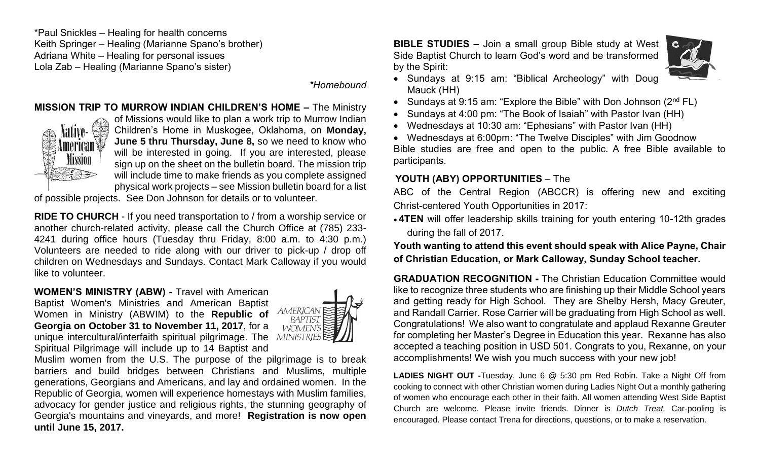\*Paul Snickles – Healing for health concerns Keith Springer – Healing (Marianne Spano's brother) Adriana White – Healing for personal issues Lola Zab – Healing (Marianne Spano's sister)

*\*Homebound*

# **MISSION TRIP TO MURROW INDIAN CHILDREN'S HOME –** The Ministry



of Missions would like to plan a work trip to Murrow Indian Children's Home in Muskogee, Oklahoma, on **Monday, June 5 thru Thursday, June 8,** so we need to know who will be interested in going. If you are interested, please sign up on the sheet on the bulletin board. The mission trip will include time to make friends as you complete assigned physical work projects – see Mission bulletin board for a list

of possible projects. See Don Johnson for details or to volunteer.

**RIDE TO CHURCH** - If you need transportation to / from a worship service or another church-related activity, please call the Church Office at (785) 233- 4241 during office hours (Tuesday thru Friday, 8:00 a.m. to 4:30 p.m.) Volunteers are needed to ride along with our driver to pick-up / drop off children on Wednesdays and Sundays. Contact Mark Calloway if you would like to volunteer.

**WOMEN'S MINISTRY (ABW) -** Travel with American

Baptist Women's Ministries and American Baptist Women in Ministry (ABWIM) to the **Republic of Georgia on October 31 to November 11, 2017**, for a unique intercultural/interfaith spiritual pilgrimage. The MINISTRIES Spiritual Pilgrimage will include up to 14 Baptist and



Muslim women from the U.S. The purpose of the pilgrimage is to break barriers and build bridges between Christians and Muslims, multiple generations, Georgians and Americans, and lay and ordained women. In the Republic of Georgia, women will experience homestays with Muslim families, advocacy for gender justice and religious rights, the stunning geography of Georgia's mountains and vineyards, and more! **Registration is now open until June 15, 2017.**

**BIBLE STUDIES –** Join a small group Bible study at West Side Baptist Church to learn God's word and be transformed by the Spirit:



- Sundays at 9:15 am: "Biblical Archeology" with Doug Mauck (HH)
- Sundays at 9:15 am: "Explore the Bible" with Don Johnson  $(2^{nd} FL)$
- Sundays at 4:00 pm: "The Book of Isaiah" with Pastor Ivan (HH)
- Wednesdays at 10:30 am: "Ephesians" with Pastor Ivan (HH)
- Wednesdays at 6:00pm: "The Twelve Disciples" with Jim Goodnow Bible studies are free and open to the public. A free Bible available to participants.

## **YOUTH (ABY) OPPORTUNITIES** – The

ABC of the Central Region (ABCCR) is offering new and exciting Christ-centered Youth Opportunities in 2017:

• **4TEN** will offer leadership skills training for youth entering 10-12th grades during the fall of 2017.

**Youth wanting to attend this event should speak with Alice Payne, Chair of Christian Education, or Mark Calloway, Sunday School teacher.**

**GRADUATION RECOGNITION -** The Christian Education Committee would like to recognize three students who are finishing up their Middle School years and getting ready for High School. They are Shelby Hersh, Macy Greuter, and Randall Carrier. Rose Carrier will be graduating from High School as well. Congratulations! We also want to congratulate and applaud Rexanne Greuter for completing her Master's Degree in Education this year. Rexanne has also accepted a teaching position in USD 501. Congrats to you, Rexanne, on your accomplishments! We wish you much success with your new job!

**LADIES NIGHT OUT -**Tuesday, June 6 @ 5:30 pm Red Robin. Take a Night Off from cooking to connect with other Christian women during Ladies Night Out a monthly gathering of women who encourage each other in their faith. All women attending West Side Baptist Church are welcome. Please invite friends. Dinner is *Dutch Treat.* Car-pooling is encouraged. Please contact Trena for directions, questions, or to make a reservation.